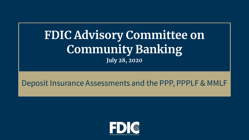# **FDIC Advisory Committee on Community Banking July 28, 2020**

#### Deposit Insurance Assessments and the PPP, PPPLF & MMLF

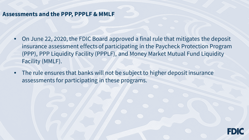#### **Assessments and the PPP, PPPLF & MMLF**

- On June 22, 2020, the FDIC Board approved a final rule that mitigates the deposit insurance assessment effects of participating in the Paycheck Protection Program (PPP), PPP Liquidity Facility (PPPLF), and Money Market Mutual Fund Liquidity Facility (MMLF).
- The rule ensures that banks will not be subject to higher deposit insurance assessments for participating in these programs.

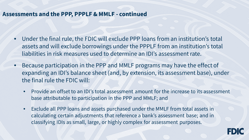#### **Assessments and the PPP, PPPLF & MMLF - continued**

- Under the final rule, the FDIC will exclude PPP loans from an institution's total assets and will exclude borrowings under the PPPLF from an institution's total liabilities in risk measures used to determine an IDI's assessment rate.
- Because participation in the PPP and MMLF programs may have the effect of expanding an IDI's balance sheet (and, by extension, its assessment base), under the final rule the FDIC will:
	- Provide an offset to an IDI's total assessment amount for the increase to its assessment base attributable to participation in the PPP and MMLF; and
	- Exclude all PPP loans and assets purchased under the MMLF from total assets in calculating certain adjustments that reference a bank's assessment base; and in classifying IDIs as small, large, or highly complex for assessment purposes.

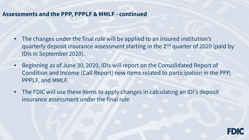#### **Assessments and the PPP, PPPLF & MMLF - continued**

- The changes under the final rule will be applied to an insured institution's quarterly deposit insurance assessment starting in the 2nd quarter of 2020 (paid by IDIs in September 2020).
- Beginning as of June 30, 2020, IDIs will report on the Consolidated Report of Condition and Income (Call Report) new items related to participation in the PPP, PPPLF, and MMLF.
- The FDIC will use these items to apply changes in calculating an IDI's deposit insurance assessment under the final rule.

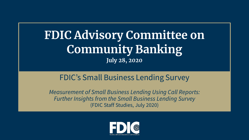# **FDIC Advisory Committee on Community Banking July 28, 2020**

#### FDIC's Small Business Lending Survey

*Measurement of Small Business Lending Using Call Reports: Further Insights from the Small Business Lending Survey*  (FDIC Staff Studies, July 2020)

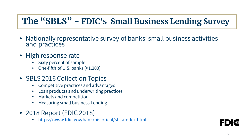## **The "SBLS" - FDIC's Small Business Lending Survey**

- Nationally representative survey of banks' small business activities and practices
- High response rate
	- Sixty percent of sample
	- One-fifth of U.S. banks (≈1,200)
- SBLS 2016 Collection Topics
	- Competitive practices and advantages
	- Loan products and underwriting practices
	- Markets and competition
	- Measuring small business Lending
- 2018 Report (FDIC 2018)
	- <https://www.fdic.gov/bank/historical/sbls/index.html>

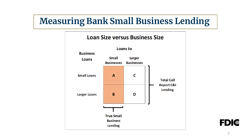## **Measuring Bank Small Business Lending**



**FDIC**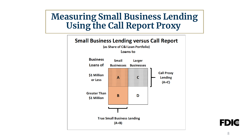### **Measuring Small Business Lending Using the Call Report Proxy**



I E D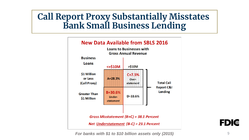### **Call Report Proxy Substantially Misstates Bank Small Business Lending**





*For banks with \$1 to \$10 billion assets only (2015)* 9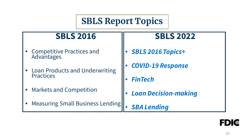## **SBLS Report Topics**

#### **SBLS 2016**

- Competitive Practices and **Advantages**
- Loan Products and Underwriting Practices
- Markets and Competition
- Measuring Small Business Lending

#### **SBLS 2022**

- *SBLS 2016 Topics+*
- *COVID-19 Response*
- *FinTech*
- *Loan Decision-making*
- *SBA Lending*